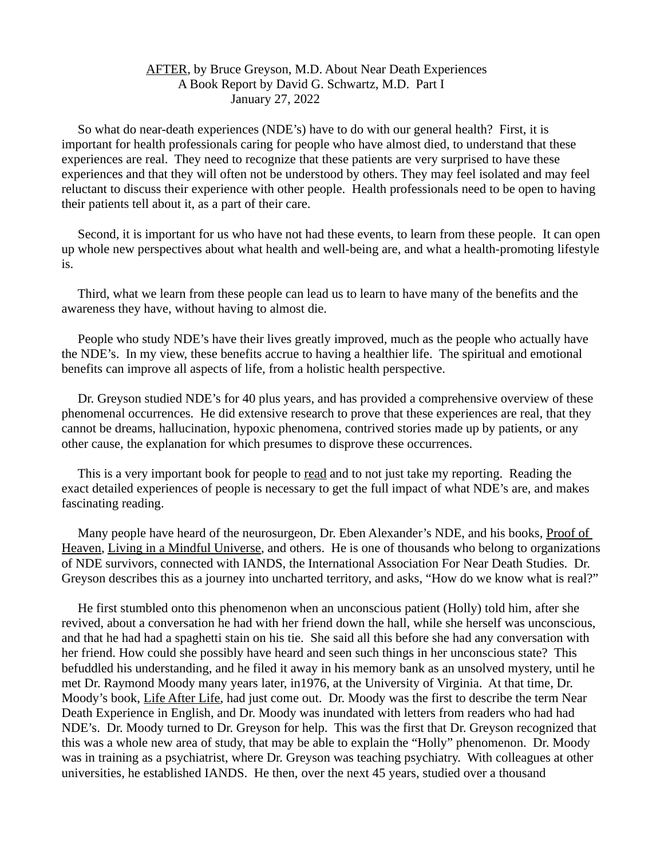## AFTER, by Bruce Greyson, M.D. About Near Death Experiences A Book Report by David G. Schwartz, M.D. Part I January 27, 2022

 So what do near-death experiences (NDE's) have to do with our general health? First, it is important for health professionals caring for people who have almost died, to understand that these experiences are real. They need to recognize that these patients are very surprised to have these experiences and that they will often not be understood by others. They may feel isolated and may feel reluctant to discuss their experience with other people. Health professionals need to be open to having their patients tell about it, as a part of their care.

 Second, it is important for us who have not had these events, to learn from these people. It can open up whole new perspectives about what health and well-being are, and what a health-promoting lifestyle is.

 Third, what we learn from these people can lead us to learn to have many of the benefits and the awareness they have, without having to almost die.

 People who study NDE's have their lives greatly improved, much as the people who actually have the NDE's. In my view, these benefits accrue to having a healthier life. The spiritual and emotional benefits can improve all aspects of life, from a holistic health perspective.

 Dr. Greyson studied NDE's for 40 plus years, and has provided a comprehensive overview of these phenomenal occurrences. He did extensive research to prove that these experiences are real, that they cannot be dreams, hallucination, hypoxic phenomena, contrived stories made up by patients, or any other cause, the explanation for which presumes to disprove these occurrences.

 This is a very important book for people to read and to not just take my reporting. Reading the exact detailed experiences of people is necessary to get the full impact of what NDE's are, and makes fascinating reading.

 Many people have heard of the neurosurgeon, Dr. Eben Alexander's NDE, and his books, Proof of Heaven, Living in a Mindful Universe, and others. He is one of thousands who belong to organizations of NDE survivors, connected with IANDS, the International Association For Near Death Studies. Dr. Greyson describes this as a journey into uncharted territory, and asks, "How do we know what is real?"

 He first stumbled onto this phenomenon when an unconscious patient (Holly) told him, after she revived, about a conversation he had with her friend down the hall, while she herself was unconscious, and that he had had a spaghetti stain on his tie. She said all this before she had any conversation with her friend. How could she possibly have heard and seen such things in her unconscious state? This befuddled his understanding, and he filed it away in his memory bank as an unsolved mystery, until he met Dr. Raymond Moody many years later, in1976, at the University of Virginia. At that time, Dr. Moody's book, Life After Life, had just come out. Dr. Moody was the first to describe the term Near Death Experience in English, and Dr. Moody was inundated with letters from readers who had had NDE's. Dr. Moody turned to Dr. Greyson for help. This was the first that Dr. Greyson recognized that this was a whole new area of study, that may be able to explain the "Holly" phenomenon. Dr. Moody was in training as a psychiatrist, where Dr. Greyson was teaching psychiatry. With colleagues at other universities, he established IANDS. He then, over the next 45 years, studied over a thousand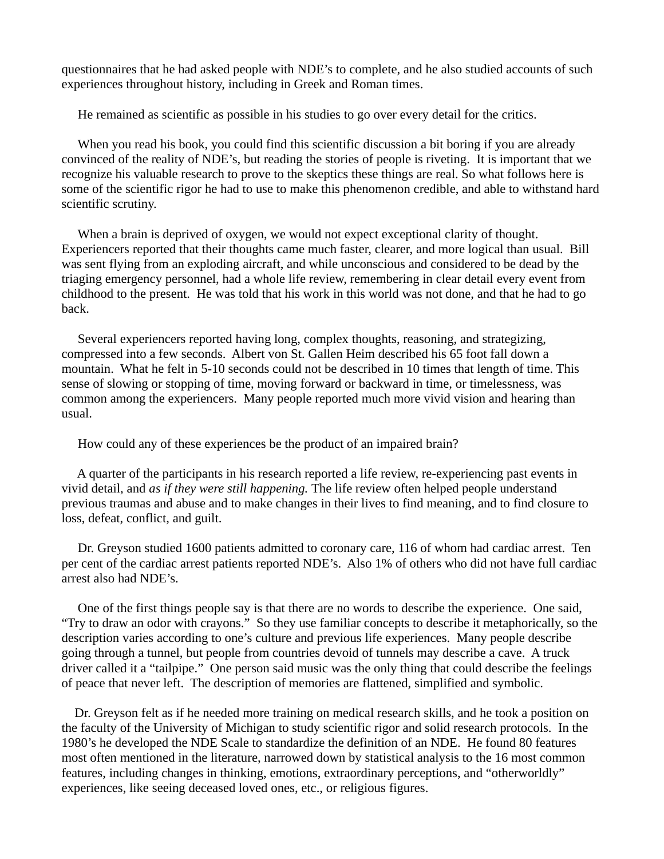questionnaires that he had asked people with NDE's to complete, and he also studied accounts of such experiences throughout history, including in Greek and Roman times.

He remained as scientific as possible in his studies to go over every detail for the critics.

 When you read his book, you could find this scientific discussion a bit boring if you are already convinced of the reality of NDE's, but reading the stories of people is riveting. It is important that we recognize his valuable research to prove to the skeptics these things are real. So what follows here is some of the scientific rigor he had to use to make this phenomenon credible, and able to withstand hard scientific scrutiny.

 When a brain is deprived of oxygen, we would not expect exceptional clarity of thought. Experiencers reported that their thoughts came much faster, clearer, and more logical than usual. Bill was sent flying from an exploding aircraft, and while unconscious and considered to be dead by the triaging emergency personnel, had a whole life review, remembering in clear detail every event from childhood to the present. He was told that his work in this world was not done, and that he had to go back.

 Several experiencers reported having long, complex thoughts, reasoning, and strategizing, compressed into a few seconds. Albert von St. Gallen Heim described his 65 foot fall down a mountain. What he felt in 5-10 seconds could not be described in 10 times that length of time. This sense of slowing or stopping of time, moving forward or backward in time, or timelessness, was common among the experiencers. Many people reported much more vivid vision and hearing than usual.

How could any of these experiences be the product of an impaired brain?

 A quarter of the participants in his research reported a life review, re-experiencing past events in vivid detail, and *as if they were still happening.* The life review often helped people understand previous traumas and abuse and to make changes in their lives to find meaning, and to find closure to loss, defeat, conflict, and guilt.

 Dr. Greyson studied 1600 patients admitted to coronary care, 116 of whom had cardiac arrest. Ten per cent of the cardiac arrest patients reported NDE's. Also 1% of others who did not have full cardiac arrest also had NDE's.

 One of the first things people say is that there are no words to describe the experience. One said, "Try to draw an odor with crayons." So they use familiar concepts to describe it metaphorically, so the description varies according to one's culture and previous life experiences. Many people describe going through a tunnel, but people from countries devoid of tunnels may describe a cave. A truck driver called it a "tailpipe." One person said music was the only thing that could describe the feelings of peace that never left. The description of memories are flattened, simplified and symbolic.

 Dr. Greyson felt as if he needed more training on medical research skills, and he took a position on the faculty of the University of Michigan to study scientific rigor and solid research protocols. In the 1980's he developed the NDE Scale to standardize the definition of an NDE. He found 80 features most often mentioned in the literature, narrowed down by statistical analysis to the 16 most common features, including changes in thinking, emotions, extraordinary perceptions, and "otherworldly" experiences, like seeing deceased loved ones, etc., or religious figures.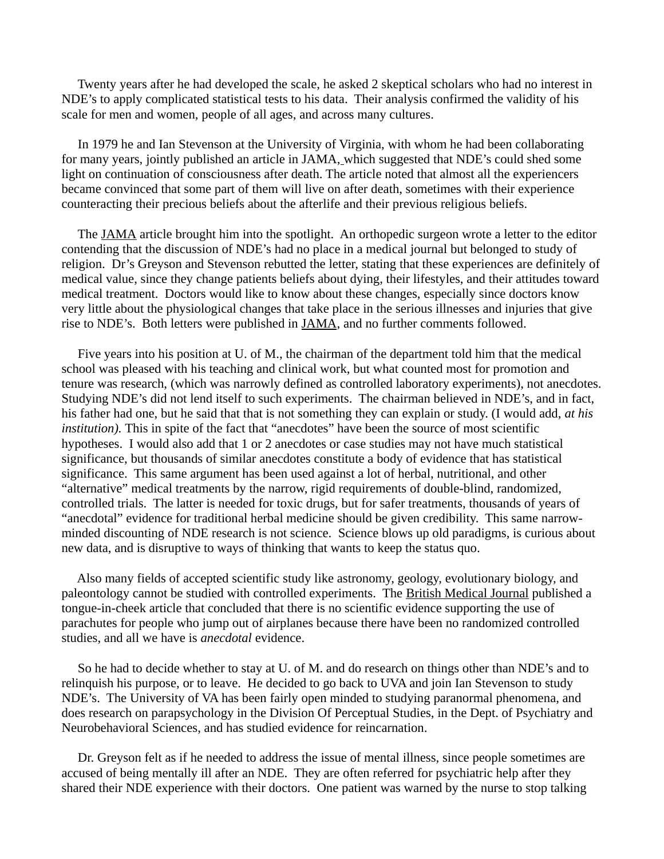Twenty years after he had developed the scale, he asked 2 skeptical scholars who had no interest in NDE's to apply complicated statistical tests to his data. Their analysis confirmed the validity of his scale for men and women, people of all ages, and across many cultures.

 In 1979 he and Ian Stevenson at the University of Virginia, with whom he had been collaborating for many years, jointly published an article in JAMA, which suggested that NDE's could shed some light on continuation of consciousness after death. The article noted that almost all the experiencers became convinced that some part of them will live on after death, sometimes with their experience counteracting their precious beliefs about the afterlife and their previous religious beliefs.

 The JAMA article brought him into the spotlight. An orthopedic surgeon wrote a letter to the editor contending that the discussion of NDE's had no place in a medical journal but belonged to study of religion. Dr's Greyson and Stevenson rebutted the letter, stating that these experiences are definitely of medical value, since they change patients beliefs about dying, their lifestyles, and their attitudes toward medical treatment. Doctors would like to know about these changes, especially since doctors know very little about the physiological changes that take place in the serious illnesses and injuries that give rise to NDE's. Both letters were published in JAMA, and no further comments followed.

 Five years into his position at U. of M., the chairman of the department told him that the medical school was pleased with his teaching and clinical work, but what counted most for promotion and tenure was research, (which was narrowly defined as controlled laboratory experiments), not anecdotes. Studying NDE's did not lend itself to such experiments. The chairman believed in NDE's, and in fact, his father had one, but he said that that is not something they can explain or study. (I would add, *at his institution).* This in spite of the fact that "anecdotes" have been the source of most scientific hypotheses. I would also add that 1 or 2 anecdotes or case studies may not have much statistical significance, but thousands of similar anecdotes constitute a body of evidence that has statistical significance. This same argument has been used against a lot of herbal, nutritional, and other "alternative" medical treatments by the narrow, rigid requirements of double-blind, randomized, controlled trials. The latter is needed for toxic drugs, but for safer treatments, thousands of years of "anecdotal" evidence for traditional herbal medicine should be given credibility. This same narrowminded discounting of NDE research is not science. Science blows up old paradigms, is curious about new data, and is disruptive to ways of thinking that wants to keep the status quo.

 Also many fields of accepted scientific study like astronomy, geology, evolutionary biology, and paleontology cannot be studied with controlled experiments. The British Medical Journal published a tongue-in-cheek article that concluded that there is no scientific evidence supporting the use of parachutes for people who jump out of airplanes because there have been no randomized controlled studies, and all we have is *anecdotal* evidence.

 So he had to decide whether to stay at U. of M. and do research on things other than NDE's and to relinquish his purpose, or to leave. He decided to go back to UVA and join Ian Stevenson to study NDE's. The University of VA has been fairly open minded to studying paranormal phenomena, and does research on parapsychology in the Division Of Perceptual Studies, in the Dept. of Psychiatry and Neurobehavioral Sciences, and has studied evidence for reincarnation.

 Dr. Greyson felt as if he needed to address the issue of mental illness, since people sometimes are accused of being mentally ill after an NDE. They are often referred for psychiatric help after they shared their NDE experience with their doctors. One patient was warned by the nurse to stop talking